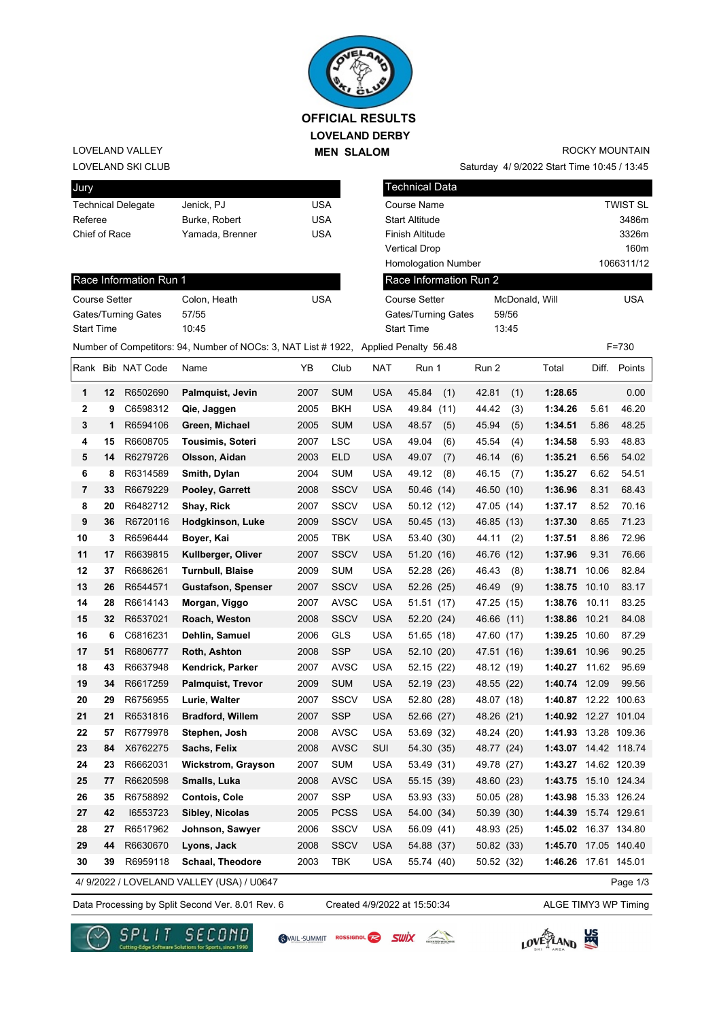

**LOVELAND DERBY MEN SLALOM** 

## LOVELAND VALLEY

#### LOVELAND SKI CLUB

| Jury                      |                 |     |
|---------------------------|-----------------|-----|
| <b>Technical Delegate</b> | Jenick, PJ      | USA |
| Referee                   | Burke, Robert   | USA |
| Chief of Race             | Yamada, Brenner | USA |
|                           |                 |     |

# ROCKY MOUNTAIN

Saturday 4/ 9/2022 Start Time 10:45 / 13:45

| Jury                             |    |                           |                                                                                      |            |                      |                                          | <b>Technical Data</b>  |                |     |                      |       |                 |  |  |
|----------------------------------|----|---------------------------|--------------------------------------------------------------------------------------|------------|----------------------|------------------------------------------|------------------------|----------------|-----|----------------------|-------|-----------------|--|--|
|                                  |    | <b>Technical Delegate</b> | Jenick, PJ                                                                           | <b>USA</b> |                      |                                          | Course Name            |                |     |                      |       | <b>TWIST SL</b> |  |  |
| Referee                          |    |                           | Burke, Robert                                                                        | <b>USA</b> |                      |                                          | Start Altitude         | 3486m          |     |                      |       |                 |  |  |
| Chief of Race<br>Yamada, Brenner |    |                           | <b>USA</b>                                                                           |            |                      | Finish Altitude                          | 3326m                  |                |     |                      |       |                 |  |  |
|                                  |    |                           |                                                                                      |            | <b>Vertical Drop</b> |                                          |                        | 160m           |     |                      |       |                 |  |  |
|                                  |    |                           |                                                                                      |            |                      | 1066311/12<br><b>Homologation Number</b> |                        |                |     |                      |       |                 |  |  |
|                                  |    | Race Information Run 1    |                                                                                      |            |                      |                                          | Race Information Run 2 |                |     |                      |       |                 |  |  |
| <b>Course Setter</b>             |    |                           | Colon, Heath                                                                         | <b>USA</b> |                      |                                          | <b>Course Setter</b>   | McDonald, Will | USA |                      |       |                 |  |  |
|                                  |    | Gates/Turning Gates       | 57/55                                                                                |            |                      |                                          | Gates/Turning Gates    | 59/56          |     |                      |       |                 |  |  |
| <b>Start Time</b><br>10:45       |    |                           |                                                                                      |            |                      | <b>Start Time</b>                        |                        | 13:45          |     |                      |       |                 |  |  |
|                                  |    |                           | Number of Competitors: 94, Number of NOCs: 3, NAT List # 1922, Applied Penalty 56.48 |            |                      |                                          |                        |                |     |                      |       | $F = 730$       |  |  |
|                                  |    | Rank Bib NAT Code         | Name                                                                                 | YΒ         | Club                 | <b>NAT</b>                               | Run 1                  | Run 2          |     | Total                | Diff. | Points          |  |  |
| 1                                | 12 | R6502690                  | Palmquist, Jevin                                                                     | 2007       | <b>SUM</b>           | <b>USA</b>                               | 45.84<br>(1)           | 42.81          | (1) | 1:28.65              |       | 0.00            |  |  |
| 2                                | 9  | C6598312                  | Qie, Jaggen                                                                          | 2005       | <b>BKH</b>           | <b>USA</b>                               | 49.84 (11)             | 44.42          | (3) | 1:34.26              | 5.61  | 46.20           |  |  |
| 3                                | 1  | R6594106                  | Green, Michael                                                                       | 2005       | <b>SUM</b>           | <b>USA</b>                               | 48.57<br>(5)           | 45.94          | (5) | 1:34.51              | 5.86  | 48.25           |  |  |
| 4                                | 15 | R6608705                  | <b>Tousimis, Soteri</b>                                                              | 2007       | <b>LSC</b>           | <b>USA</b>                               | 49.04<br>(6)           | 45.54          | (4) | 1:34.58              | 5.93  | 48.83           |  |  |
| 5                                | 14 | R6279726                  | Olsson, Aidan                                                                        | 2003       | <b>ELD</b>           | <b>USA</b>                               | 49.07<br>(7)           | 46.14          | (6) | 1:35.21              | 6.56  | 54.02           |  |  |
| 6                                | 8  | R6314589                  | Smith, Dylan                                                                         | 2004       | <b>SUM</b>           | <b>USA</b>                               | 49.12<br>(8)           | 46.15          | (7) | 1:35.27              | 6.62  | 54.51           |  |  |
| 7                                | 33 | R6679229                  | Pooley, Garrett                                                                      | 2008       | <b>SSCV</b>          | <b>USA</b>                               | 50.46 (14)             | 46.50 (10)     |     | 1:36.96              | 8.31  | 68.43           |  |  |
| 8                                | 20 | R6482712                  | Shay, Rick                                                                           | 2007       | SSCV                 | <b>USA</b>                               | 50.12 (12)             | 47.05 (14)     |     | 1:37.17              | 8.52  | 70.16           |  |  |
| 9                                | 36 | R6720116                  | Hodgkinson, Luke                                                                     | 2009       | <b>SSCV</b>          | <b>USA</b>                               | 50.45(13)              | 46.85 (13)     |     | 1:37.30              | 8.65  | 71.23           |  |  |
| 10                               | 3  | R6596444                  | Boyer, Kai                                                                           | 2005       | <b>TBK</b>           | <b>USA</b>                               | 53.40 (30)             | 44.11          | (2) | 1:37.51              | 8.86  | 72.96           |  |  |
| 11                               | 17 | R6639815                  | Kullberger, Oliver                                                                   | 2007       | <b>SSCV</b>          | <b>USA</b>                               | 51.20 (16)             | 46.76 (12)     |     | 1:37.96              | 9.31  | 76.66           |  |  |
| 12                               | 37 | R6686261                  | <b>Turnbull, Blaise</b>                                                              | 2009       | <b>SUM</b>           | <b>USA</b>                               | 52.28 (26)             | 46.43          | (8) | 1:38.71 10.06        |       | 82.84           |  |  |
| 13                               | 26 | R6544571                  | <b>Gustafson, Spenser</b>                                                            | 2007       | <b>SSCV</b>          | <b>USA</b>                               | 52.26 (25)             | 46.49          | (9) | 1:38.75 10.10        |       | 83.17           |  |  |
| 14                               | 28 | R6614143                  | Morgan, Viggo                                                                        | 2007       | <b>AVSC</b>          | <b>USA</b>                               | 51.51 (17)             | 47.25 (15)     |     | 1:38.76              | 10.11 | 83.25           |  |  |
| 15                               | 32 | R6537021                  | Roach, Weston                                                                        | 2008       | <b>SSCV</b>          | <b>USA</b>                               | 52.20 (24)             | 46.66 (11)     |     | 1:38.86 10.21        |       | 84.08           |  |  |
| 16                               | 6  | C6816231                  | Dehlin, Samuel                                                                       | 2006       | <b>GLS</b>           | <b>USA</b>                               | 51.65 (18)             | 47.60 (17)     |     | 1:39.25 10.60        |       | 87.29           |  |  |
| 17                               | 51 | R6806777                  | Roth, Ashton                                                                         | 2008       | <b>SSP</b>           | <b>USA</b>                               | 52.10 (20)             | 47.51 (16)     |     | 1:39.61 10.96        |       | 90.25           |  |  |
| 18                               | 43 | R6637948                  | Kendrick, Parker                                                                     | 2007       | <b>AVSC</b>          | <b>USA</b>                               | 52.15 (22)             | 48.12 (19)     |     | 1:40.27 11.62        |       | 95.69           |  |  |
| 19                               | 34 | R6617259                  | <b>Palmquist, Trevor</b>                                                             | 2009       | <b>SUM</b>           | <b>USA</b>                               | 52.19 (23)             | 48.55 (22)     |     | 1:40.74 12.09        |       | 99.56           |  |  |
| 20                               | 29 | R6756955                  | Lurie, Walter                                                                        | 2007       | <b>SSCV</b>          | <b>USA</b>                               | 52.80 (28)             | 48.07 (18)     |     | 1:40.87 12.22 100.63 |       |                 |  |  |
| 21                               | 21 | R6531816                  | <b>Bradford, Willem</b>                                                              | 2007       | SSP                  | <b>USA</b>                               | 52.66 (27)             | 48.26 (21)     |     | 1:40.92 12.27 101.04 |       |                 |  |  |
| 22                               | 57 | R6779978                  | Stephen, Josh                                                                        | 2008       | <b>AVSC</b>          | <b>USA</b>                               | 53.69 (32)             | 48.24 (20)     |     | 1:41.93 13.28 109.36 |       |                 |  |  |
| 23                               | 84 | X6762275                  | Sachs, Felix                                                                         | 2008       | <b>AVSC</b>          | SUI                                      | 54.30 (35)             | 48.77 (24)     |     | 1:43.07 14.42 118.74 |       |                 |  |  |
| 24                               | 23 | R6662031                  | <b>Wickstrom, Grayson</b>                                                            | 2007       | <b>SUM</b>           | <b>USA</b>                               | 53.49 (31)             | 49.78 (27)     |     | 1:43.27 14.62 120.39 |       |                 |  |  |
| 25                               | 77 | R6620598                  | Smalls, Luka                                                                         | 2008       | <b>AVSC</b>          | <b>USA</b>                               | 55.15 (39)             | 48.60 (23)     |     | 1:43.75 15.10 124.34 |       |                 |  |  |
| 26                               | 35 | R6758892                  | Contois, Cole                                                                        | 2007       | SSP                  | <b>USA</b>                               | 53.93 (33)             | 50.05 (28)     |     | 1:43.98 15.33 126.24 |       |                 |  |  |
| 27                               | 42 | 16553723                  | Sibley, Nicolas                                                                      | 2005       | <b>PCSS</b>          | <b>USA</b>                               | 54.00 (34)             | 50.39 (30)     |     | 1:44.39 15.74 129.61 |       |                 |  |  |
| 28                               | 27 | R6517962                  | Johnson, Sawyer                                                                      | 2006       | SSCV                 | <b>USA</b>                               | 56.09 (41)             | 48.93 (25)     |     | 1:45.02 16.37 134.80 |       |                 |  |  |
| 29                               | 44 | R6630670                  | Lyons, Jack                                                                          | 2008       | <b>SSCV</b>          | <b>USA</b>                               | 54.88 (37)             | 50.82 (33)     |     | 1:45.70 17.05 140.40 |       |                 |  |  |
| 30                               | 39 | R6959118                  | Schaal, Theodore                                                                     | 2003       | TBK                  | <b>USA</b>                               | 55.74 (40)             | 50.52 (32)     |     | 1:46.26 17.61 145.01 |       |                 |  |  |
|                                  |    |                           | 4/ 9/2022 / LOVELAND VALLEY (USA) / U0647                                            |            |                      |                                          |                        |                |     |                      |       | Page 1/3        |  |  |

Data Processing by Split Second Ver. 8.01 Rev. 6 Created 4/9/2022 at 15:50:34 ALGE TIMY3 WP Timing

Created 4/9/2022 at 15:50:34







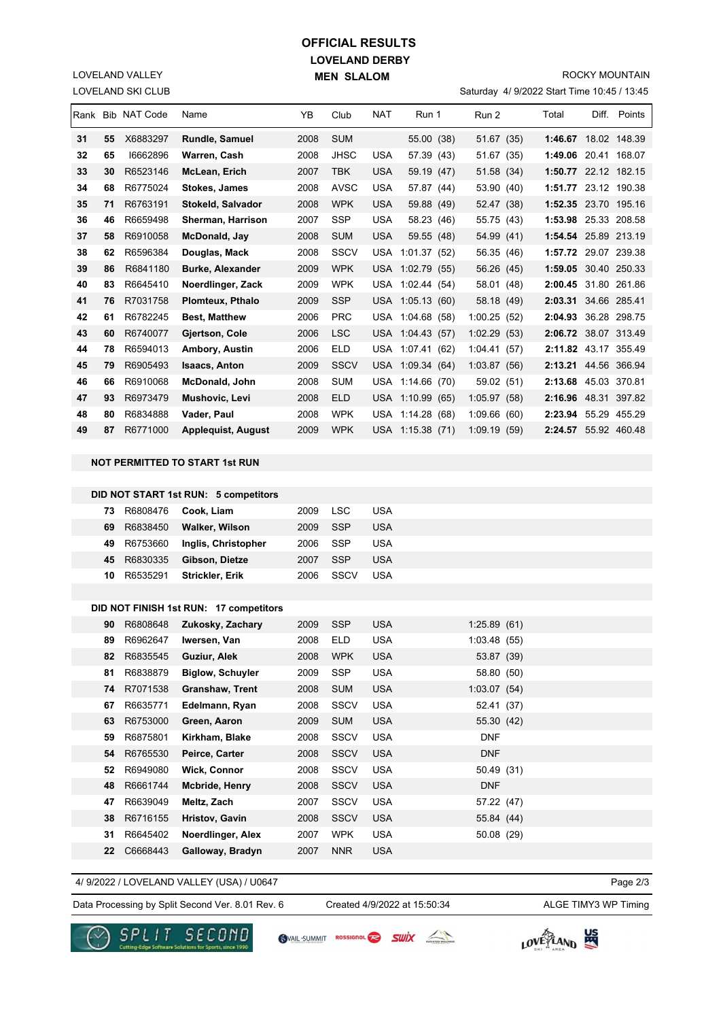## **LOVELAND DERBY MEN SLALOM OFFICIAL RESULTS**

LOVELAND SKI CLUB LOVELAND VALLEY

#### ROCKY MOUNTAIN

Saturday 4/ 9/2022 Start Time 10:45 / 13:45

|    |    | Rank Bib NAT Code | Name                                   | YB   | Club        | NAT        | Run 1            | Run 2       | Total                | Diff. Points |
|----|----|-------------------|----------------------------------------|------|-------------|------------|------------------|-------------|----------------------|--------------|
| 31 | 55 | X6883297          | Rundle, Samuel                         | 2008 | <b>SUM</b>  |            | 55.00 (38)       | 51.67 (35)  | 1:46.67 18.02 148.39 |              |
| 32 | 65 | 16662896          | Warren, Cash                           | 2008 | JHSC        | <b>USA</b> | 57.39 (43)       | 51.67 (35)  | 1:49.06 20.41 168.07 |              |
| 33 | 30 | R6523146          | McLean, Erich                          | 2007 | <b>TBK</b>  | <b>USA</b> | 59.19 (47)       | 51.58 (34)  | 1:50.77 22.12 182.15 |              |
| 34 | 68 | R6775024          | <b>Stokes, James</b>                   | 2008 | <b>AVSC</b> | <b>USA</b> | 57.87 (44)       | 53.90 (40)  | 1:51.77 23.12 190.38 |              |
| 35 | 71 | R6763191          | Stokeld, Salvador                      | 2008 | <b>WPK</b>  | USA        | 59.88 (49)       | 52.47 (38)  | 1:52.35 23.70 195.16 |              |
| 36 | 46 | R6659498          | Sherman, Harrison                      | 2007 | SSP         | <b>USA</b> | 58.23 (46)       | 55.75 (43)  | 1:53.98 25.33 208.58 |              |
| 37 | 58 | R6910058          | McDonald, Jay                          | 2008 | <b>SUM</b>  | <b>USA</b> | 59.55 (48)       | 54.99 (41)  | 1:54.54 25.89 213.19 |              |
| 38 | 62 | R6596384          | Douglas, Mack                          | 2008 | <b>SSCV</b> |            | USA 1:01.37 (52) | 56.35 (46)  | 1:57.72 29.07 239.38 |              |
| 39 | 86 | R6841180          | <b>Burke, Alexander</b>                | 2009 | <b>WPK</b>  |            | USA 1:02.79 (55) | 56.26 (45)  | 1:59.05 30.40 250.33 |              |
| 40 | 83 | R6645410          | Noerdlinger, Zack                      | 2009 | <b>WPK</b>  |            | USA 1:02.44 (54) | 58.01 (48)  | 2:00.45 31.80 261.86 |              |
| 41 | 76 | R7031758          | Plomteux, Pthalo                       | 2009 | <b>SSP</b>  |            | USA 1:05.13 (60) | 58.18 (49)  | 2:03.31 34.66 285.41 |              |
| 42 | 61 | R6782245          | <b>Best, Matthew</b>                   | 2006 | PRC         |            | USA 1:04.68 (58) | 1:00.25(52) | 2:04.93 36.28 298.75 |              |
| 43 | 60 | R6740077          | Gjertson, Cole                         | 2006 | <b>LSC</b>  |            | USA 1:04.43 (57) | 1:02.29(53) | 2:06.72 38.07 313.49 |              |
| 44 | 78 | R6594013          | <b>Ambory, Austin</b>                  | 2006 | ELD         |            | USA 1:07.41 (62) | 1:04.41(57) | 2:11.82 43.17 355.49 |              |
| 45 | 79 | R6905493          | <b>Isaacs, Anton</b>                   | 2009 | <b>SSCV</b> |            | USA 1:09.34 (64) | 1:03.87(56) | 2:13.21 44.56 366.94 |              |
| 46 | 66 | R6910068          | <b>McDonald, John</b>                  | 2008 | <b>SUM</b>  |            | USA 1:14.66 (70) | 59.02 (51)  | 2:13.68 45.03 370.81 |              |
| 47 | 93 | R6973479          | Mushovic, Levi                         | 2008 | ELD         |            | USA 1:10.99 (65) | 1:05.97(58) | 2:16.96 48.31 397.82 |              |
| 48 | 80 | R6834888          | Vader, Paul                            | 2008 | <b>WPK</b>  |            | USA 1:14.28 (68) | 1:09.66(60) | 2:23.94 55.29 455.29 |              |
| 49 | 87 | R6771000          | <b>Applequist, August</b>              | 2009 | <b>WPK</b>  |            | USA 1:15.38 (71) | 1:09.19(59) | 2:24.57 55.92 460.48 |              |
|    |    |                   |                                        |      |             |            |                  |             |                      |              |
|    |    |                   | NOT PERMITTED TO START 1st RUN         |      |             |            |                  |             |                      |              |
|    |    |                   |                                        |      |             |            |                  |             |                      |              |
|    |    |                   | DID NOT START 1st RUN: 5 competitors   |      |             |            |                  |             |                      |              |
|    | 73 | R6808476          | Cook, Liam                             | 2009 | <b>LSC</b>  | <b>USA</b> |                  |             |                      |              |
|    | 69 | R6838450          | Walker, Wilson                         | 2009 | <b>SSP</b>  | <b>USA</b> |                  |             |                      |              |
|    | 49 | R6753660          | Inglis, Christopher                    | 2006 | <b>SSP</b>  | <b>USA</b> |                  |             |                      |              |
|    | 45 | R6830335          | Gibson, Dietze                         | 2007 | SSP         | <b>USA</b> |                  |             |                      |              |
|    | 10 | R6535291          | Strickler, Erik                        | 2006 | SSCV        | <b>USA</b> |                  |             |                      |              |
|    |    |                   |                                        |      |             |            |                  |             |                      |              |
|    |    |                   | DID NOT FINISH 1st RUN: 17 competitors |      |             |            |                  |             |                      |              |
|    | 90 | R6808648          | Zukosky, Zachary                       | 2009 | <b>SSP</b>  | USA        |                  | 1:25.89(61) |                      |              |
|    | 89 | R6962647          | Iwersen, Van                           | 2008 | ELD         | USA        |                  | 1:03.48(55) |                      |              |
|    | 82 | R6835545          | Guziur, Alek                           | 2008 | <b>WPK</b>  | <b>USA</b> |                  | 53.87 (39)  |                      |              |
|    | 81 | R6838879          | <b>Biglow, Schuyler</b>                | 2009 | SSP         | <b>USA</b> |                  | 58.80 (50)  |                      |              |

4/ 9/2022 / LOVELAND VALLEY (USA) / U0647

 **22** C6668443 **Galloway, Bradyn** 2007 NNR USA

Created 4/9/2022 at 15:50:34

 R7071538 **Granshaw, Trent** 2008 SUM USA 1:03.07 (54) R6635771 **Edelmann, Ryan** 2008 SSCV USA 52.41 (37) R6753000 **Green, Aaron** 2009 SUM USA 55.30 (42) R6875801 **Kirkham, Blake** 2008 SSCV USA DNF R6765530 **Peirce, Carter** 2008 SSCV USA DNF R6949080 **Wick, Connor** 2008 SSCV USA 50.49 (31) R6661744 **Mcbride, Henry** 2008 SSCV USA DNF R6639049 **Meltz, Zach** 2007 SSCV USA 57.22 (47) R6716155 **Hristov, Gavin** 2008 SSCV USA 55.84 (44) R6645402 **Noerdlinger, Alex** 2007 WPK USA 50.08 (29)

Data Processing by Split Second Ver. 8.01 Rev. 6 Created 4/9/2022 at 15:50:34 ALGE TIMY3 WP Timing

Page 2/3